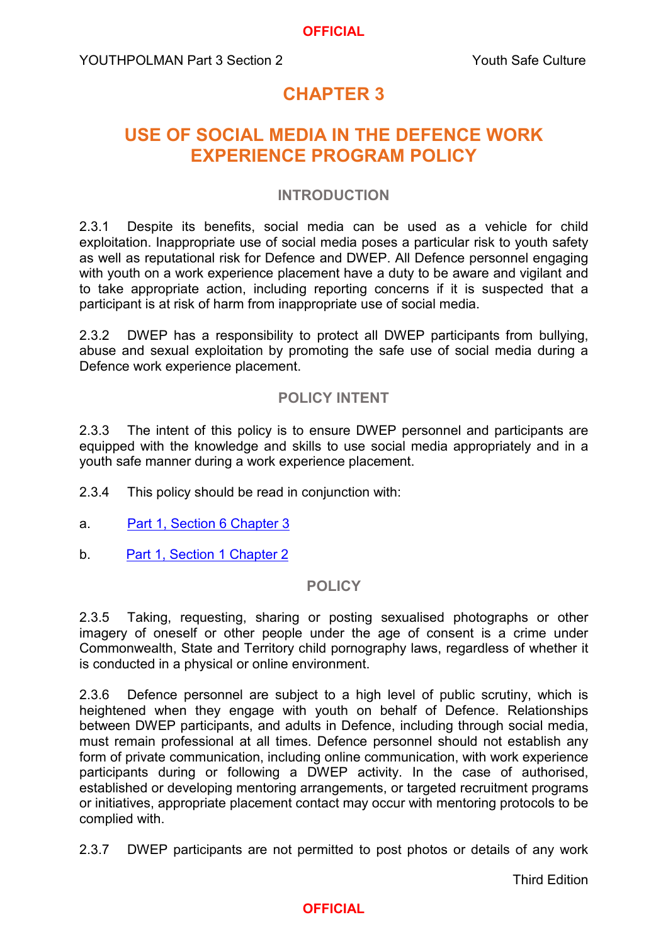### **OFFICIAL**

# **CHAPTER 3**

# **USE OF SOCIAL MEDIA IN THE DEFENCE WORK EXPERIENCE PROGRAM POLICY**

### **INTRODUCTION**

2.3.1 Despite its benefits, social media can be used as a vehicle for child exploitation. Inappropriate use of social media poses a particular risk to youth safety as well as reputational risk for Defence and DWEP. All Defence personnel engaging with youth on a work experience placement have a duty to be aware and vigilant and to take appropriate action, including reporting concerns if it is suspected that a participant is at risk of harm from inappropriate use of social media.

2.3.2 DWEP has a responsibility to protect all DWEP participants from bullying, abuse and sexual exploitation by promoting the safe use of social media during a Defence work experience placement.

# **POLICY INTENT**

2.3.3 The intent of this policy is to ensure DWEP personnel and participants are equipped with the knowledge and skills to use social media appropriately and in a youth safe manner during a work experience placement.

- 2.3.4 This policy should be read in conjunction with:
- a. [Part 1, Section 6 Chapter 3](https://www.defenceyouth.gov.au/media/1560/commonpol3-use-of-social-media-bn16276175.pdf)
- b. [Part 1, Section 1 Chapter 2](https://www.defenceyouth.gov.au/media/1548/2-sect1ch2-youth-protection-documentation-records-and-privacy-bn16147777.pdf)

### **POLICY**

2.3.5 Taking, requesting, sharing or posting sexualised photographs or other imagery of oneself or other people under the age of consent is a crime under Commonwealth, State and Territory child pornography laws, regardless of whether it is conducted in a physical or online environment.

2.3.6 Defence personnel are subject to a high level of public scrutiny, which is heightened when they engage with youth on behalf of Defence. Relationships between DWEP participants, and adults in Defence, including through social media, must remain professional at all times. Defence personnel should not establish any form of private communication, including online communication, with work experience participants during or following a DWEP activity. In the case of authorised, established or developing mentoring arrangements, or targeted recruitment programs or initiatives, appropriate placement contact may occur with mentoring protocols to be complied with.

2.3.7 DWEP participants are not permitted to post photos or details of any work

# **OFFICIAL**